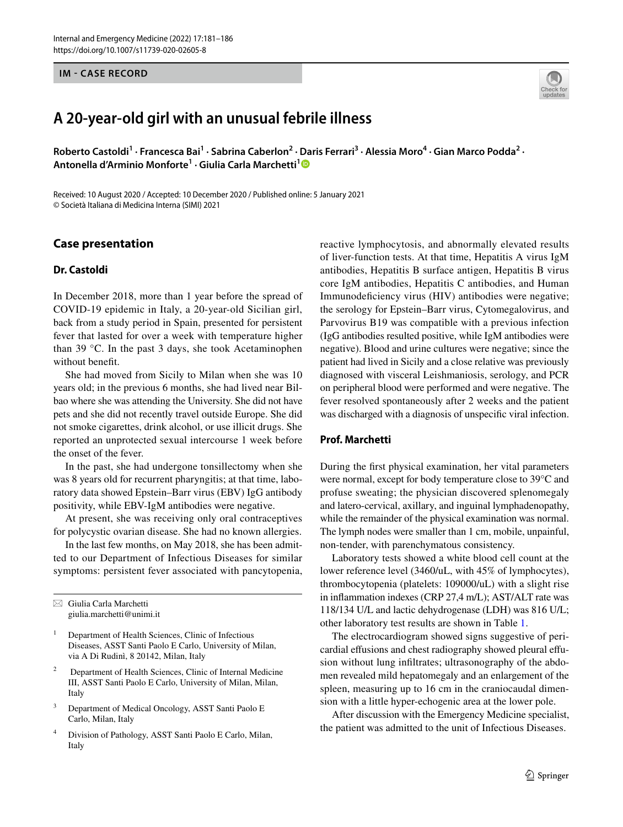# **IM - CASE RECORD**

# **A 20‑year‑old girl with an unusual febrile illness**

Roberto Castoldi<sup>1</sup> · Francesca Bai<sup>1</sup> · Sabrina Caberlon<sup>2</sup> · Daris Ferrari<sup>3</sup> · Alessia Moro<sup>4</sup> · Gian Marco Podda<sup>2</sup> · **Antonella d'Arminio Monforte1 · Giulia Carla Marchetti[1](http://orcid.org/0000-0002-4498-4828)**

Received: 10 August 2020 / Accepted: 10 December 2020 / Published online: 5 January 2021 © Società Italiana di Medicina Interna (SIMI) 2021

# **Case presentation**

# **Dr. Castoldi**

In December 2018, more than 1 year before the spread of COVID-19 epidemic in Italy, a 20-year-old Sicilian girl, back from a study period in Spain, presented for persistent fever that lasted for over a week with temperature higher than 39 °C. In the past 3 days, she took Acetaminophen without beneft.

She had moved from Sicily to Milan when she was 10 years old; in the previous 6 months, she had lived near Bilbao where she was attending the University. She did not have pets and she did not recently travel outside Europe. She did not smoke cigarettes, drink alcohol, or use illicit drugs. She reported an unprotected sexual intercourse 1 week before the onset of the fever.

In the past, she had undergone tonsillectomy when she was 8 years old for recurrent pharyngitis; at that time, laboratory data showed Epstein–Barr virus (EBV) IgG antibody positivity, while EBV-IgM antibodies were negative.

At present, she was receiving only oral contraceptives for polycystic ovarian disease. She had no known allergies.

In the last few months, on May 2018, she has been admitted to our Department of Infectious Diseases for similar symptoms: persistent fever associated with pancytopenia,

 $\boxtimes$  Giulia Carla Marchetti giulia.marchetti@unimi.it

- <sup>1</sup> Department of Health Sciences, Clinic of Infectious Diseases, ASST Santi Paolo E Carlo, University of Milan, via A Di Rudinì, 8 20142, Milan, Italy
- 2 Department of Health Sciences, Clinic of Internal Medicine III, ASST Santi Paolo E Carlo, University of Milan, Milan, Italy
- <sup>3</sup> Department of Medical Oncology, ASST Santi Paolo E Carlo, Milan, Italy
- <sup>4</sup> Division of Pathology, ASST Santi Paolo E Carlo, Milan, Italy

reactive lymphocytosis, and abnormally elevated results of liver-function tests. At that time, Hepatitis A virus IgM antibodies, Hepatitis B surface antigen, Hepatitis B virus core IgM antibodies, Hepatitis C antibodies, and Human Immunodefciency virus (HIV) antibodies were negative; the serology for Epstein–Barr virus, Cytomegalovirus, and Parvovirus B19 was compatible with a previous infection (IgG antibodies resulted positive, while IgM antibodies were negative). Blood and urine cultures were negative; since the patient had lived in Sicily and a close relative was previously diagnosed with visceral Leishmaniosis, serology, and PCR on peripheral blood were performed and were negative. The fever resolved spontaneously after 2 weeks and the patient was discharged with a diagnosis of unspecifc viral infection.

#### **Prof. Marchetti**

During the frst physical examination, her vital parameters were normal, except for body temperature close to 39°C and profuse sweating; the physician discovered splenomegaly and latero-cervical, axillary, and inguinal lymphadenopathy, while the remainder of the physical examination was normal. The lymph nodes were smaller than 1 cm, mobile, unpainful, non-tender, with parenchymatous consistency.

Laboratory tests showed a white blood cell count at the lower reference level (3460/uL, with 45% of lymphocytes), thrombocytopenia (platelets: 109000/uL) with a slight rise in infammation indexes (CRP 27,4 m/L); AST/ALT rate was 118/134 U/L and lactic dehydrogenase (LDH) was 816 U/L; other laboratory test results are shown in Table [1.](#page-1-0)

The electrocardiogram showed signs suggestive of pericardial effusions and chest radiography showed pleural effusion without lung infltrates; ultrasonography of the abdomen revealed mild hepatomegaly and an enlargement of the spleen, measuring up to 16 cm in the craniocaudal dimension with a little hyper-echogenic area at the lower pole.

After discussion with the Emergency Medicine specialist, the patient was admitted to the unit of Infectious Diseases.

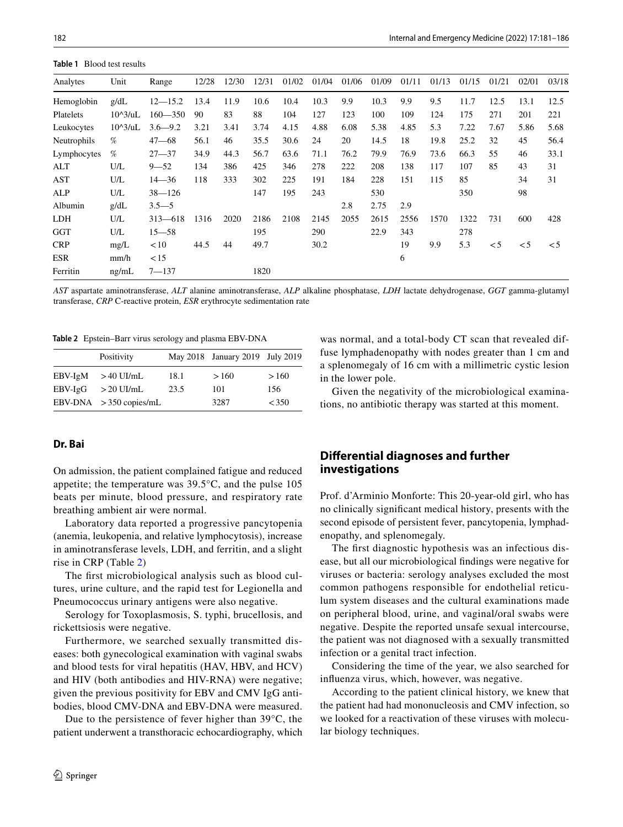<span id="page-1-0"></span>**Table 1** Blood test results

| Analytes    | Unit                    | Range       | 12/28 | 12/30 | 12/31 | 01/02 | 01/04 | 01/06 | 01/09 | 01/11 | 01/13 | 01/15 | 01/21   | 02/01    | 03/18    |
|-------------|-------------------------|-------------|-------|-------|-------|-------|-------|-------|-------|-------|-------|-------|---------|----------|----------|
| Hemoglobin  | g/dL                    | $12 - 15.2$ | 13.4  | 11.9  | 10.6  | 10.4  | 10.3  | 9.9   | 10.3  | 9.9   | 9.5   | 11.7  | 12.5    | 13.1     | 12.5     |
| Platelets   | $10^{\circ}3/\text{uL}$ | $160 - 350$ | 90    | 83    | 88    | 104   | 127   | 123   | 100   | 109   | 124   | 175   | 271     | 201      | 221      |
| Leukocytes  | $10^{\circ}$ 3/uL       | $3.6 - 9.2$ | 3.21  | 3.41  | 3.74  | 4.15  | 4.88  | 6.08  | 5.38  | 4.85  | 5.3   | 7.22  | 7.67    | 5.86     | 5.68     |
| Neutrophils | $\%$                    | $47 - 68$   | 56.1  | 46    | 35.5  | 30.6  | 24    | 20    | 14.5  | 18    | 19.8  | 25.2  | 32      | 45       | 56.4     |
| Lymphocytes | %                       | $27 - 37$   | 34.9  | 44.3  | 56.7  | 63.6  | 71.1  | 76.2  | 79.9  | 76.9  | 73.6  | 66.3  | 55      | 46       | 33.1     |
| ALT         | U/L                     | $9 - 52$    | 134   | 386   | 425   | 346   | 278   | 222   | 208   | 138   | 117   | 107   | 85      | 43       | 31       |
| AST         | U/L                     | $14 - 36$   | 118   | 333   | 302   | 225   | 191   | 184   | 228   | 151   | 115   | 85    |         | 34       | 31       |
| ALP         | U/L                     | $38 - 126$  |       |       | 147   | 195   | 243   |       | 530   |       |       | 350   |         | 98       |          |
| Albumin     | g/dL                    | $3.5 - 5$   |       |       |       |       |       | 2.8   | 2.75  | 2.9   |       |       |         |          |          |
| LDH         | U/L                     | $313 - 618$ | 1316  | 2020  | 2186  | 2108  | 2145  | 2055  | 2615  | 2556  | 1570  | 1322  | 731     | 600      | 428      |
| GGT         | U/L                     | $15 - 58$   |       |       | 195   |       | 290   |       | 22.9  | 343   |       | 278   |         |          |          |
| <b>CRP</b>  | mg/L                    | < 10        | 44.5  | 44    | 49.7  |       | 30.2  |       |       | 19    | 9.9   | 5.3   | $\lt$ 5 | $\leq 5$ | $\leq 5$ |
| <b>ESR</b>  | mm/h                    | < 15        |       |       |       |       |       |       |       | 6     |       |       |         |          |          |
| Ferritin    | ng/mL                   | $7 - 137$   |       |       | 1820  |       |       |       |       |       |       |       |         |          |          |

*AST* aspartate aminotransferase, *ALT* alanine aminotransferase, *ALP* alkaline phosphatase, *LDH* lactate dehydrogenase, *GGT* gamma-glutamyl transferase, *CRP* C-reactive protein, *ESR* erythrocyte sedimentation rate

<span id="page-1-1"></span>**Table 2** Epstein–Barr virus serology and plasma EBV-DNA

|           | Positivity               |      | May 2018 January 2019 July 2019 |       |
|-----------|--------------------------|------|---------------------------------|-------|
| EBV-IgM   | $>40$ UI/mL              | 18.1 | >160                            | >160  |
| $EBV-IgG$ | $>$ 20 UI/mL             | 23.5 | 101                             | 156   |
|           | EBV-DNA $>350$ copies/mL |      | 3287                            | < 350 |

# **Dr. Bai**

On admission, the patient complained fatigue and reduced appetite; the temperature was 39.5°C, and the pulse 105 beats per minute, blood pressure, and respiratory rate breathing ambient air were normal.

Laboratory data reported a progressive pancytopenia (anemia, leukopenia, and relative lymphocytosis), increase in aminotransferase levels, LDH, and ferritin, and a slight rise in CRP (Table [2](#page-1-1))

The frst microbiological analysis such as blood cultures, urine culture, and the rapid test for Legionella and Pneumococcus urinary antigens were also negative.

Serology for Toxoplasmosis, S. typhi, brucellosis, and rickettsiosis were negative.

Furthermore, we searched sexually transmitted diseases: both gynecological examination with vaginal swabs and blood tests for viral hepatitis (HAV, HBV, and HCV) and HIV (both antibodies and HIV-RNA) were negative; given the previous positivity for EBV and CMV IgG antibodies, blood CMV-DNA and EBV-DNA were measured.

Due to the persistence of fever higher than 39°C, the patient underwent a transthoracic echocardiography, which was normal, and a total-body CT scan that revealed diffuse lymphadenopathy with nodes greater than 1 cm and a splenomegaly of 16 cm with a millimetric cystic lesion in the lower pole.

Given the negativity of the microbiological examinations, no antibiotic therapy was started at this moment.

# **Diferential diagnoses and further investigations**

Prof. d'Arminio Monforte: This 20-year-old girl, who has no clinically signifcant medical history, presents with the second episode of persistent fever, pancytopenia, lymphadenopathy, and splenomegaly.

The frst diagnostic hypothesis was an infectious disease, but all our microbiological fndings were negative for viruses or bacteria: serology analyses excluded the most common pathogens responsible for endothelial reticulum system diseases and the cultural examinations made on peripheral blood, urine, and vaginal/oral swabs were negative. Despite the reported unsafe sexual intercourse, the patient was not diagnosed with a sexually transmitted infection or a genital tract infection.

Considering the time of the year, we also searched for infuenza virus, which, however, was negative.

According to the patient clinical history, we knew that the patient had had mononucleosis and CMV infection, so we looked for a reactivation of these viruses with molecular biology techniques.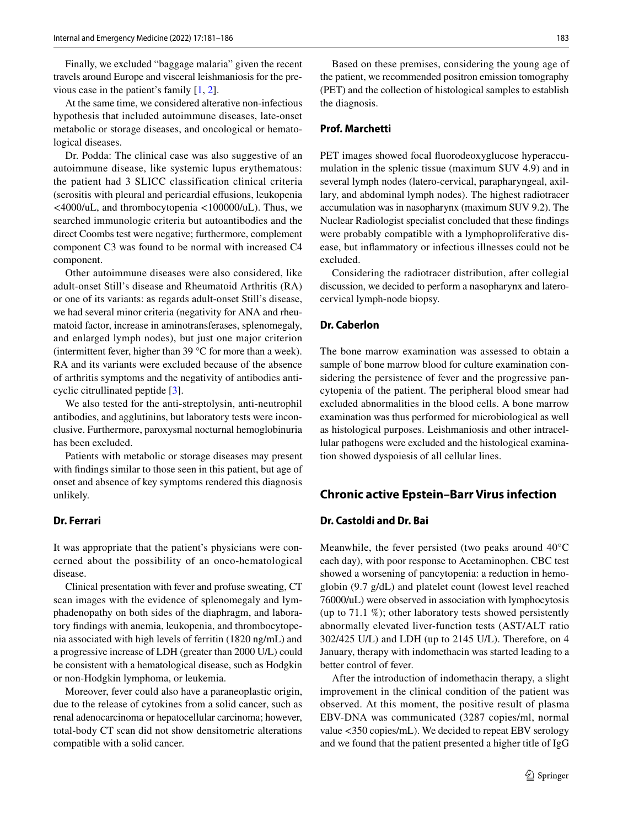Finally, we excluded "baggage malaria" given the recent travels around Europe and visceral leishmaniosis for the previous case in the patient's family [[1,](#page-4-0) [2\]](#page-5-0).

At the same time, we considered alterative non-infectious hypothesis that included autoimmune diseases, late-onset metabolic or storage diseases, and oncological or hematological diseases.

Dr. Podda: The clinical case was also suggestive of an autoimmune disease, like systemic lupus erythematous: the patient had 3 SLICC classification clinical criteria (serositis with pleural and pericardial efusions, leukopenia <4000/uL, and thrombocytopenia <100000/uL). Thus, we searched immunologic criteria but autoantibodies and the direct Coombs test were negative; furthermore, complement component C3 was found to be normal with increased C4 component.

Other autoimmune diseases were also considered, like adult-onset Still's disease and Rheumatoid Arthritis (RA) or one of its variants: as regards adult-onset Still's disease, we had several minor criteria (negativity for ANA and rheumatoid factor, increase in aminotransferases, splenomegaly, and enlarged lymph nodes), but just one major criterion (intermittent fever, higher than 39 °C for more than a week). RA and its variants were excluded because of the absence of arthritis symptoms and the negativity of antibodies anticyclic citrullinated peptide [[3\]](#page-5-1).

We also tested for the anti-streptolysin, anti-neutrophil antibodies, and agglutinins, but laboratory tests were inconclusive. Furthermore, paroxysmal nocturnal hemoglobinuria has been excluded.

Patients with metabolic or storage diseases may present with fndings similar to those seen in this patient, but age of onset and absence of key symptoms rendered this diagnosis unlikely.

#### **Dr. Ferrari**

It was appropriate that the patient's physicians were concerned about the possibility of an onco-hematological disease.

Clinical presentation with fever and profuse sweating, CT scan images with the evidence of splenomegaly and lymphadenopathy on both sides of the diaphragm, and laboratory fndings with anemia, leukopenia, and thrombocytopenia associated with high levels of ferritin (1820 ng/mL) and a progressive increase of LDH (greater than 2000 U/L) could be consistent with a hematological disease, such as Hodgkin or non-Hodgkin lymphoma, or leukemia.

Moreover, fever could also have a paraneoplastic origin, due to the release of cytokines from a solid cancer, such as renal adenocarcinoma or hepatocellular carcinoma; however, total-body CT scan did not show densitometric alterations compatible with a solid cancer.

Based on these premises, considering the young age of the patient, we recommended positron emission tomography (PET) and the collection of histological samples to establish the diagnosis.

#### **Prof. Marchetti**

PET images showed focal fuorodeoxyglucose hyperaccumulation in the splenic tissue (maximum SUV 4.9) and in several lymph nodes (latero-cervical, parapharyngeal, axillary, and abdominal lymph nodes). The highest radiotracer accumulation was in nasopharynx (maximum SUV 9.2). The Nuclear Radiologist specialist concluded that these fndings were probably compatible with a lymphoproliferative disease, but infammatory or infectious illnesses could not be excluded.

Considering the radiotracer distribution, after collegial discussion, we decided to perform a nasopharynx and laterocervical lymph-node biopsy.

#### **Dr. Caberlon**

The bone marrow examination was assessed to obtain a sample of bone marrow blood for culture examination considering the persistence of fever and the progressive pancytopenia of the patient. The peripheral blood smear had excluded abnormalities in the blood cells. A bone marrow examination was thus performed for microbiological as well as histological purposes. Leishmaniosis and other intracellular pathogens were excluded and the histological examination showed dyspoiesis of all cellular lines.

# **Chronic active Epstein–Barr Virus infection**

# **Dr. Castoldi and Dr. Bai**

Meanwhile, the fever persisted (two peaks around 40°C each day), with poor response to Acetaminophen. CBC test showed a worsening of pancytopenia: a reduction in hemoglobin (9.7 g/dL) and platelet count (lowest level reached 76000/uL) were observed in association with lymphocytosis (up to 71.1 %); other laboratory tests showed persistently abnormally elevated liver-function tests (AST/ALT ratio 302/425 U/L) and LDH (up to 2145 U/L). Therefore, on 4 January, therapy with indomethacin was started leading to a better control of fever.

After the introduction of indomethacin therapy, a slight improvement in the clinical condition of the patient was observed. At this moment, the positive result of plasma EBV-DNA was communicated (3287 copies/ml, normal value <350 copies/mL). We decided to repeat EBV serology and we found that the patient presented a higher title of IgG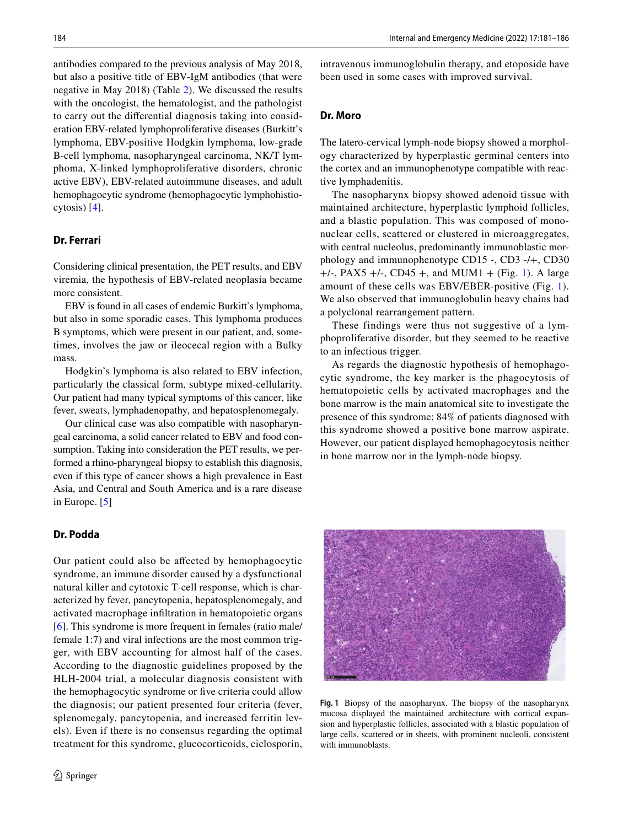antibodies compared to the previous analysis of May 2018, but also a positive title of EBV-IgM antibodies (that were negative in May 2018) (Table [2](#page-1-1)). We discussed the results with the oncologist, the hematologist, and the pathologist to carry out the diferential diagnosis taking into consideration EBV-related lymphoproliferative diseases (Burkitt's lymphoma, EBV-positive Hodgkin lymphoma, low-grade B-cell lymphoma, nasopharyngeal carcinoma, NK/T lymphoma, X-linked lymphoproliferative disorders, chronic active EBV), EBV-related autoimmune diseases, and adult hemophagocytic syndrome (hemophagocytic lymphohistiocytosis) [\[4](#page-5-2)].

# **Dr. Ferrari**

Considering clinical presentation, the PET results, and EBV viremia, the hypothesis of EBV-related neoplasia became more consistent.

EBV is found in all cases of endemic Burkitt's lymphoma, but also in some sporadic cases. This lymphoma produces B symptoms, which were present in our patient, and, sometimes, involves the jaw or ileocecal region with a Bulky mass.

Hodgkin's lymphoma is also related to EBV infection, particularly the classical form, subtype mixed-cellularity. Our patient had many typical symptoms of this cancer, like fever, sweats, lymphadenopathy, and hepatosplenomegaly.

Our clinical case was also compatible with nasopharyngeal carcinoma, a solid cancer related to EBV and food consumption. Taking into consideration the PET results, we performed a rhino-pharyngeal biopsy to establish this diagnosis, even if this type of cancer shows a high prevalence in East Asia, and Central and South America and is a rare disease in Europe. [[5\]](#page-5-3)

# **Dr. Podda**

Our patient could also be afected by hemophagocytic syndrome, an immune disorder caused by a dysfunctional natural killer and cytotoxic T-cell response, which is characterized by fever, pancytopenia, hepatosplenomegaly, and activated macrophage infltration in hematopoietic organs [\[6](#page-5-4)]. This syndrome is more frequent in females (ratio male/ female 1:7) and viral infections are the most common trigger, with EBV accounting for almost half of the cases. According to the diagnostic guidelines proposed by the HLH-2004 trial, a molecular diagnosis consistent with the hemophagocytic syndrome or fve criteria could allow the diagnosis; our patient presented four criteria (fever, splenomegaly, pancytopenia, and increased ferritin levels). Even if there is no consensus regarding the optimal treatment for this syndrome, glucocorticoids, ciclosporin,

intravenous immunoglobulin therapy, and etoposide have been used in some cases with improved survival.

#### **Dr. Moro**

The latero-cervical lymph-node biopsy showed a morphology characterized by hyperplastic germinal centers into the cortex and an immunophenotype compatible with reactive lymphadenitis.

The nasopharynx biopsy showed adenoid tissue with maintained architecture, hyperplastic lymphoid follicles, and a blastic population. This was composed of mononuclear cells, scattered or clustered in microaggregates, with central nucleolus, predominantly immunoblastic morphology and immunophenotype CD15 -, CD3 -/+, CD30  $+/-$ , PAX5  $+/-$ , CD45  $+$ , and MUM[1](#page-3-0)  $+$  (Fig. 1). A large amount of these cells was EBV/EBER-positive (Fig. [1](#page-3-0)). We also observed that immunoglobulin heavy chains had a polyclonal rearrangement pattern.

These findings were thus not suggestive of a lymphoproliferative disorder, but they seemed to be reactive to an infectious trigger.

As regards the diagnostic hypothesis of hemophagocytic syndrome, the key marker is the phagocytosis of hematopoietic cells by activated macrophages and the bone marrow is the main anatomical site to investigate the presence of this syndrome; 84% of patients diagnosed with this syndrome showed a positive bone marrow aspirate. However, our patient displayed hemophagocytosis neither in bone marrow nor in the lymph-node biopsy.

<span id="page-3-0"></span>

**Fig. 1** Biopsy of the nasopharynx. The biopsy of the nasopharynx mucosa displayed the maintained architecture with cortical expansion and hyperplastic follicles, associated with a blastic population of large cells, scattered or in sheets, with prominent nucleoli, consistent with immunoblasts.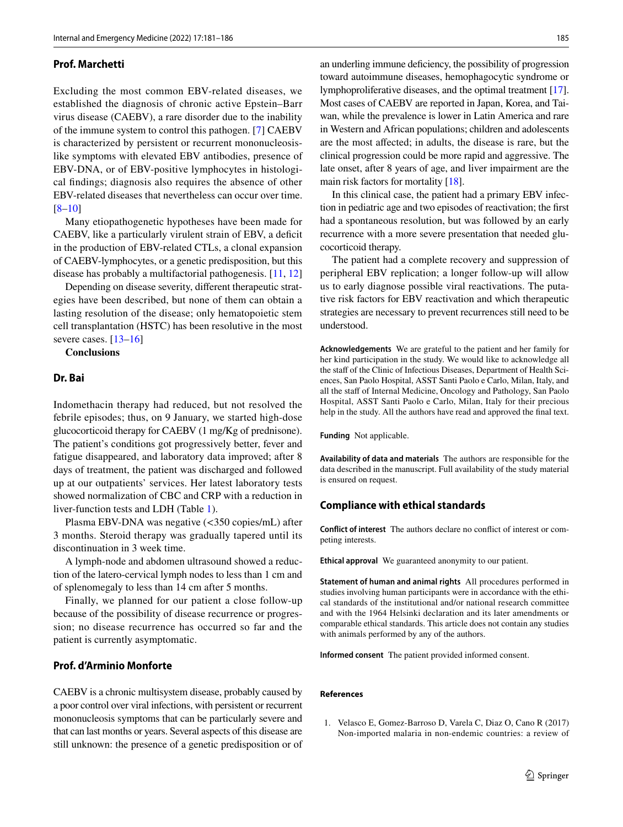#### **Prof. Marchetti**

Excluding the most common EBV-related diseases, we established the diagnosis of chronic active Epstein–Barr virus disease (CAEBV), a rare disorder due to the inability of the immune system to control this pathogen. [[7](#page-5-5)] CAEBV is characterized by persistent or recurrent mononucleosislike symptoms with elevated EBV antibodies, presence of EBV-DNA, or of EBV-positive lymphocytes in histological fndings; diagnosis also requires the absence of other EBV-related diseases that nevertheless can occur over time. [\[8](#page-5-6)–[10\]](#page-5-7)

Many etiopathogenetic hypotheses have been made for CAEBV, like a particularly virulent strain of EBV, a deficit in the production of EBV-related CTLs, a clonal expansion of CAEBV-lymphocytes, or a genetic predisposition, but this disease has probably a multifactorial pathogenesis. [[11,](#page-5-8) [12\]](#page-5-9)

Depending on disease severity, diferent therapeutic strategies have been described, but none of them can obtain a lasting resolution of the disease; only hematopoietic stem cell transplantation (HSTC) has been resolutive in the most severe cases. [[13–](#page-5-10)[16\]](#page-5-11)

# **Conclusions**

#### **Dr. Bai**

Indomethacin therapy had reduced, but not resolved the febrile episodes; thus, on 9 January, we started high-dose glucocorticoid therapy for CAEBV (1 mg/Kg of prednisone). The patient's conditions got progressively better, fever and fatigue disappeared, and laboratory data improved; after 8 days of treatment, the patient was discharged and followed up at our outpatients' services. Her latest laboratory tests showed normalization of CBC and CRP with a reduction in liver-function tests and LDH (Table [1\)](#page-1-0).

Plasma EBV-DNA was negative (<350 copies/mL) after 3 months. Steroid therapy was gradually tapered until its discontinuation in 3 week time.

A lymph-node and abdomen ultrasound showed a reduction of the latero-cervical lymph nodes to less than 1 cm and of splenomegaly to less than 14 cm after 5 months.

Finally, we planned for our patient a close follow-up because of the possibility of disease recurrence or progression; no disease recurrence has occurred so far and the patient is currently asymptomatic.

# **Prof. d'Arminio Monforte**

CAEBV is a chronic multisystem disease, probably caused by a poor control over viral infections, with persistent or recurrent mononucleosis symptoms that can be particularly severe and that can last months or years. Several aspects of this disease are still unknown: the presence of a genetic predisposition or of an underling immune defciency, the possibility of progression toward autoimmune diseases, hemophagocytic syndrome or lymphoproliferative diseases, and the optimal treatment [[17\]](#page-5-12). Most cases of CAEBV are reported in Japan, Korea, and Taiwan, while the prevalence is lower in Latin America and rare in Western and African populations; children and adolescents are the most afected; in adults, the disease is rare, but the clinical progression could be more rapid and aggressive. The late onset, after 8 years of age, and liver impairment are the main risk factors for mortality [[18\]](#page-5-13).

In this clinical case, the patient had a primary EBV infection in pediatric age and two episodes of reactivation; the frst had a spontaneous resolution, but was followed by an early recurrence with a more severe presentation that needed glucocorticoid therapy.

The patient had a complete recovery and suppression of peripheral EBV replication; a longer follow-up will allow us to early diagnose possible viral reactivations. The putative risk factors for EBV reactivation and which therapeutic strategies are necessary to prevent recurrences still need to be understood.

**Acknowledgements** We are grateful to the patient and her family for her kind participation in the study. We would like to acknowledge all the staff of the Clinic of Infectious Diseases, Department of Health Sciences, San Paolo Hospital, ASST Santi Paolo e Carlo, Milan, Italy, and all the staff of Internal Medicine, Oncology and Pathology, San Paolo Hospital, ASST Santi Paolo e Carlo, Milan, Italy for their precious help in the study. All the authors have read and approved the fnal text.

**Funding** Not applicable.

**Availability of data and materials** The authors are responsible for the data described in the manuscript. Full availability of the study material is ensured on request.

#### **Compliance with ethical standards**

**Conflict of interest** The authors declare no confict of interest or competing interests.

**Ethical approval** We guaranteed anonymity to our patient.

**Statement of human and animal rights** All procedures performed in studies involving human participants were in accordance with the ethical standards of the institutional and/or national research committee and with the 1964 Helsinki declaration and its later amendments or comparable ethical standards. This article does not contain any studies with animals performed by any of the authors.

**Informed consent** The patient provided informed consent.

# **References**

<span id="page-4-0"></span>1. Velasco E, Gomez-Barroso D, Varela C, Diaz O, Cano R (2017) Non-imported malaria in non-endemic countries: a review of